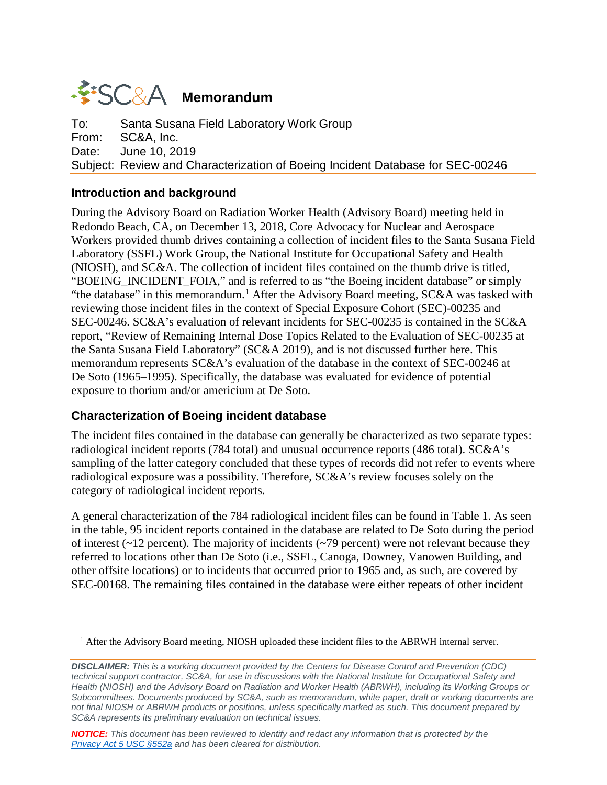# **WESC&A** Memorandum

To: Santa Susana Field Laboratory Work Group From: SC&A, Inc. Date: June 10, 2019 Subject: Review and Characterization of Boeing Incident Database for SEC-00246

## **Introduction and background**

<span id="page-0-0"></span> $\overline{a}$ 

During the Advisory Board on Radiation Worker Health (Advisory Board) meeting held in Redondo Beach, CA, on December 13, 2018, Core Advocacy for Nuclear and Aerospace Workers provided thumb drives containing a collection of incident files to the Santa Susana Field Laboratory (SSFL) Work Group, the National Institute for Occupational Safety and Health (NIOSH), and SC&A. The collection of incident files contained on the thumb drive is titled, "BOEING\_INCIDENT\_FOIA," and is referred to as "the Boeing incident database" or simply "the database" in this memorandum.<sup>[1](#page-0-0)</sup> After the Advisory Board meeting,  $SC&A$  was tasked with reviewing those incident files in the context of Special Exposure Cohort (SEC)-00235 and SEC-00246. SC&A's evaluation of relevant incidents for SEC-00235 is contained in the SC&A report, "Review of Remaining Internal Dose Topics Related to the Evaluation of SEC-00235 at the Santa Susana Field Laboratory" (SC&A 2019), and is not discussed further here. This memorandum represents SC&A's evaluation of the database in the context of SEC-00246 at De Soto (1965–1995). Specifically, the database was evaluated for evidence of potential exposure to thorium and/or americium at De Soto.

# **Characterization of Boeing incident database**

The incident files contained in the database can generally be characterized as two separate types: radiological incident reports (784 total) and unusual occurrence reports (486 total). SC&A's sampling of the latter category concluded that these types of records did not refer to events where radiological exposure was a possibility. Therefore, SC&A's review focuses solely on the category of radiological incident reports.

A general characterization of the 784 radiological incident files can be found in Table 1. As seen in the table, 95 incident reports contained in the database are related to De Soto during the period of interest  $(\sim 12$  percent). The majority of incidents  $(\sim 79$  percent) were not relevant because they referred to locations other than De Soto (i.e., SSFL, Canoga, Downey, Vanowen Building, and other offsite locations) or to incidents that occurred prior to 1965 and, as such, are covered by SEC-00168. The remaining files contained in the database were either repeats of other incident

<sup>&</sup>lt;sup>1</sup> After the Advisory Board meeting, NIOSH uploaded these incident files to the ABRWH internal server.

*DISCLAIMER: This is a working document provided by the Centers for Disease Control and Prevention (CDC) technical support contractor, SC&A, for use in discussions with the National Institute for Occupational Safety and*  Health (NIOSH) and the Advisory Board on Radiation and Worker Health (ABRWH), including its Working Groups or *Subcommittees. Documents produced by SC&A, such as memorandum, white paper, draft or working documents are not final NIOSH or ABRWH products or positions, unless specifically marked as such. This document prepared by SC&A represents its preliminary evaluation on technical issues.*

*NOTICE: This document has been reviewed to identify and redact any information that is protected by the [Privacy Act 5 USC §552a](http://www.justice.gov/opcl/privacy-act-1974) and has been cleared for distribution.*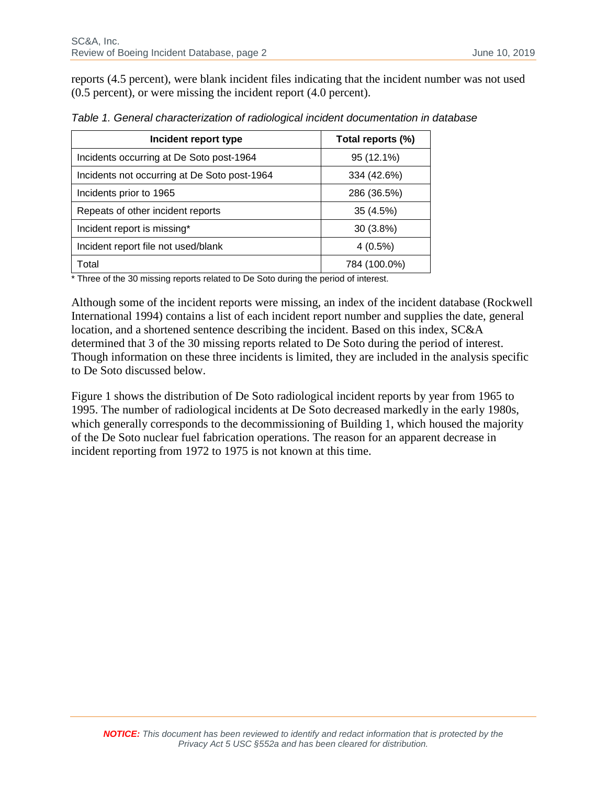reports (4.5 percent), were blank incident files indicating that the incident number was not used (0.5 percent), or were missing the incident report (4.0 percent).

| Incident report type                         | Total reports (%) |
|----------------------------------------------|-------------------|
| Incidents occurring at De Soto post-1964     | 95 (12.1%)        |
| Incidents not occurring at De Soto post-1964 | 334 (42.6%)       |
| Incidents prior to 1965                      | 286 (36.5%)       |
| Repeats of other incident reports            | 35 (4.5%)         |
| Incident report is missing*                  | $30(3.8\%)$       |
| Incident report file not used/blank          | $4(0.5\%)$        |
| Total                                        | 784 (100.0%)      |

*Table 1. General characterization of radiological incident documentation in database*

\* Three of the 30 missing reports related to De Soto during the period of interest.

Although some of the incident reports were missing, an index of the incident database (Rockwell International 1994) contains a list of each incident report number and supplies the date, general location, and a shortened sentence describing the incident. Based on this index, SC&A determined that 3 of the 30 missing reports related to De Soto during the period of interest. Though information on these three incidents is limited, they are included in the analysis specific to De Soto discussed below.

Figure 1 shows the distribution of De Soto radiological incident reports by year from 1965 to 1995. The number of radiological incidents at De Soto decreased markedly in the early 1980s, which generally corresponds to the decommissioning of Building 1, which housed the majority of the De Soto nuclear fuel fabrication operations. The reason for an apparent decrease in incident reporting from 1972 to 1975 is not known at this time.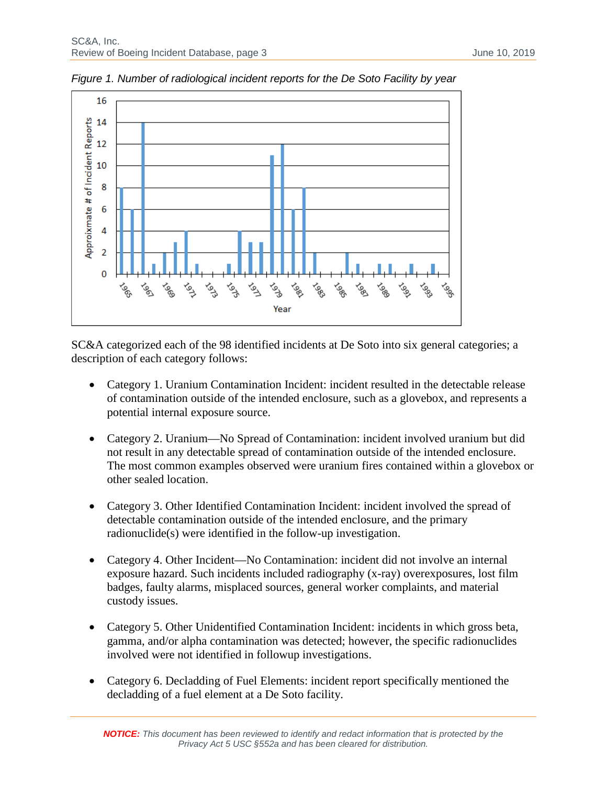

*Figure 1. Number of radiological incident reports for the De Soto Facility by year*

SC&A categorized each of the 98 identified incidents at De Soto into six general categories; a description of each category follows:

- Category 1. Uranium Contamination Incident: incident resulted in the detectable release of contamination outside of the intended enclosure, such as a glovebox, and represents a potential internal exposure source.
- Category 2. Uranium—No Spread of Contamination: incident involved uranium but did not result in any detectable spread of contamination outside of the intended enclosure. The most common examples observed were uranium fires contained within a glovebox or other sealed location.
- Category 3. Other Identified Contamination Incident: incident involved the spread of detectable contamination outside of the intended enclosure, and the primary radionuclide(s) were identified in the follow-up investigation.
- Category 4. Other Incident—No Contamination: incident did not involve an internal exposure hazard. Such incidents included radiography (x-ray) overexposures, lost film badges, faulty alarms, misplaced sources, general worker complaints, and material custody issues.
- Category 5. Other Unidentified Contamination Incident: incidents in which gross beta, gamma, and/or alpha contamination was detected; however, the specific radionuclides involved were not identified in followup investigations.
- Category 6. Decladding of Fuel Elements: incident report specifically mentioned the decladding of a fuel element at a De Soto facility.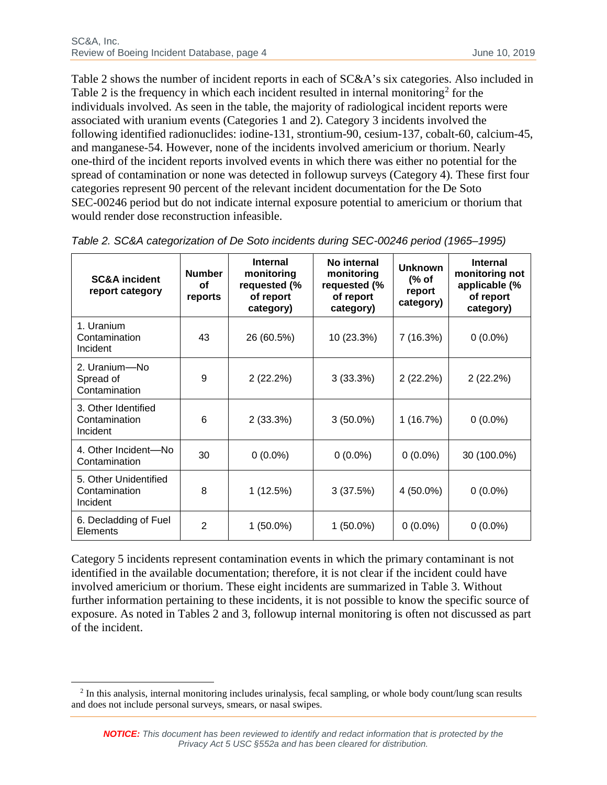Table 2 shows the number of incident reports in each of SC&A's six categories. Also included in Table [2](#page-3-0) is the frequency in which each incident resulted in internal monitoring<sup>2</sup> for the individuals involved. As seen in the table, the majority of radiological incident reports were associated with uranium events (Categories 1 and 2). Category 3 incidents involved the following identified radionuclides: iodine-131, strontium-90, cesium-137, cobalt-60, calcium-45, and manganese-54. However, none of the incidents involved americium or thorium. Nearly one-third of the incident reports involved events in which there was either no potential for the spread of contamination or none was detected in followup surveys (Category 4). These first four categories represent 90 percent of the relevant incident documentation for the De Soto SEC-00246 period but do not indicate internal exposure potential to americium or thorium that would render dose reconstruction infeasible.

| <b>SC&amp;A</b> incident<br>report category        | <b>Number</b><br>οf<br>reports | <b>Internal</b><br>monitoring<br>requested (%<br>of report<br>category) | No internal<br>monitoring<br>requested (%<br>of report<br>category) | <b>Unknown</b><br>(% of<br>report<br>category) | <b>Internal</b><br>monitoring not<br>applicable (%<br>of report<br>category) |
|----------------------------------------------------|--------------------------------|-------------------------------------------------------------------------|---------------------------------------------------------------------|------------------------------------------------|------------------------------------------------------------------------------|
| 1. Uranium<br>Contamination<br>Incident            | 43                             | 26 (60.5%)                                                              | 10 (23.3%)                                                          | 7(16.3%)                                       | $0(0.0\%)$                                                                   |
| 2. Uranium—No<br>Spread of<br>Contamination        | 9                              | 2(22.2%)                                                                | 3(33.3%)                                                            | 2(22.2%)                                       | 2(22.2%)                                                                     |
| 3. Other Identified<br>Contamination<br>Incident   | 6                              | 2(33.3%)                                                                | $3(50.0\%)$                                                         | 1(16.7%)                                       | $0(0.0\%)$                                                                   |
| 4. Other Incident-No<br>Contamination              | 30                             | $0(0.0\%)$                                                              | $0(0.0\%)$                                                          | $0(0.0\%)$                                     | 30 (100.0%)                                                                  |
| 5. Other Unidentified<br>Contamination<br>Incident | 8                              | 1(12.5%)                                                                | 3(37.5%)                                                            | 4 (50.0%)                                      | $0(0.0\%)$                                                                   |
| 6. Decladding of Fuel<br>Elements                  | 2                              | $1(50.0\%)$                                                             | $1(50.0\%)$                                                         | $0(0.0\%)$                                     | $0(0.0\%)$                                                                   |

*Table 2. SC&A categorization of De Soto incidents during SEC-00246 period (1965–1995)*

Category 5 incidents represent contamination events in which the primary contaminant is not identified in the available documentation; therefore, it is not clear if the incident could have involved americium or thorium. These eight incidents are summarized in Table 3. Without further information pertaining to these incidents, it is not possible to know the specific source of exposure. As noted in Tables 2 and 3, followup internal monitoring is often not discussed as part of the incident.

<span id="page-3-0"></span><sup>&</sup>lt;sup>2</sup> In this analysis, internal monitoring includes urinalysis, fecal sampling, or whole body count/lung scan results and does not include personal surveys, smears, or nasal swipes.  $\overline{a}$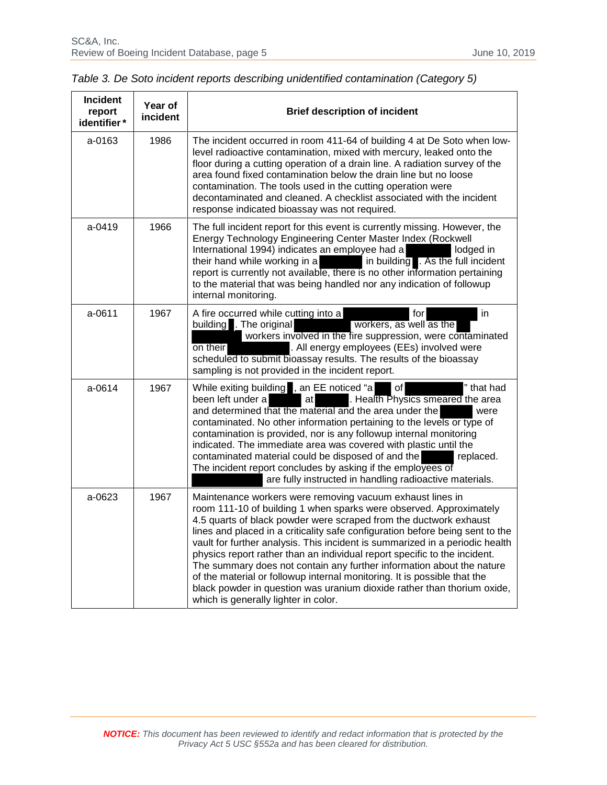| <b>Incident</b><br>report<br>identifier* | Year of<br>incident | <b>Brief description of incident</b>                                                                                                                                                                                                                                                                                                                                                                                                                                                                                                                                                                                                                                                                                       |
|------------------------------------------|---------------------|----------------------------------------------------------------------------------------------------------------------------------------------------------------------------------------------------------------------------------------------------------------------------------------------------------------------------------------------------------------------------------------------------------------------------------------------------------------------------------------------------------------------------------------------------------------------------------------------------------------------------------------------------------------------------------------------------------------------------|
| $a - 0163$                               | 1986                | The incident occurred in room 411-64 of building 4 at De Soto when low-<br>level radioactive contamination, mixed with mercury, leaked onto the<br>floor during a cutting operation of a drain line. A radiation survey of the<br>area found fixed contamination below the drain line but no loose<br>contamination. The tools used in the cutting operation were<br>decontaminated and cleaned. A checklist associated with the incident<br>response indicated bioassay was not required.                                                                                                                                                                                                                                 |
| a-0419                                   | 1966                | The full incident report for this event is currently missing. However, the<br>Energy Technology Engineering Center Master Index (Rockwell<br>International 1994) indicates an employee had a<br>lodged in<br>their hand while working in a<br>in building . As the full incident<br>report is currently not available, there is no other information pertaining<br>to the material that was being handled nor any indication of followup<br>internal monitoring.                                                                                                                                                                                                                                                           |
| a-0611                                   | 1967                | A fire occurred while cutting into a<br>in<br>for<br>building . The original<br>workers, as well as the<br>workers involved in the fire suppression, were contaminated<br>. All energy employees (EEs) involved were<br>on their<br>scheduled to submit bioassay results. The results of the bioassay<br>sampling is not provided in the incident report.                                                                                                                                                                                                                                                                                                                                                                  |
| a-0614                                   | 1967                | While exiting building , an EE noticed "a<br>of<br>" that had<br>been left under a<br>. Health Physics smeared the area<br>at<br>and determined that the material and the area under the<br>were<br>contaminated. No other information pertaining to the levels or type of<br>contamination is provided, nor is any followup internal monitoring<br>indicated. The immediate area was covered with plastic until the<br>contaminated material could be disposed of and the<br>replaced.<br>The incident report concludes by asking if the employees of<br>are fully instructed in handling radioactive materials.                                                                                                          |
| a-0623                                   | 1967                | Maintenance workers were removing vacuum exhaust lines in<br>room 111-10 of building 1 when sparks were observed. Approximately<br>4.5 quarts of black powder were scraped from the ductwork exhaust<br>lines and placed in a criticality safe configuration before being sent to the<br>vault for further analysis. This incident is summarized in a periodic health<br>physics report rather than an individual report specific to the incident.<br>The summary does not contain any further information about the nature<br>of the material or followup internal monitoring. It is possible that the<br>black powder in question was uranium dioxide rather than thorium oxide,<br>which is generally lighter in color. |

| Table 3. De Soto incident reports describing unidentified contamination (Category 5) |
|--------------------------------------------------------------------------------------|
|--------------------------------------------------------------------------------------|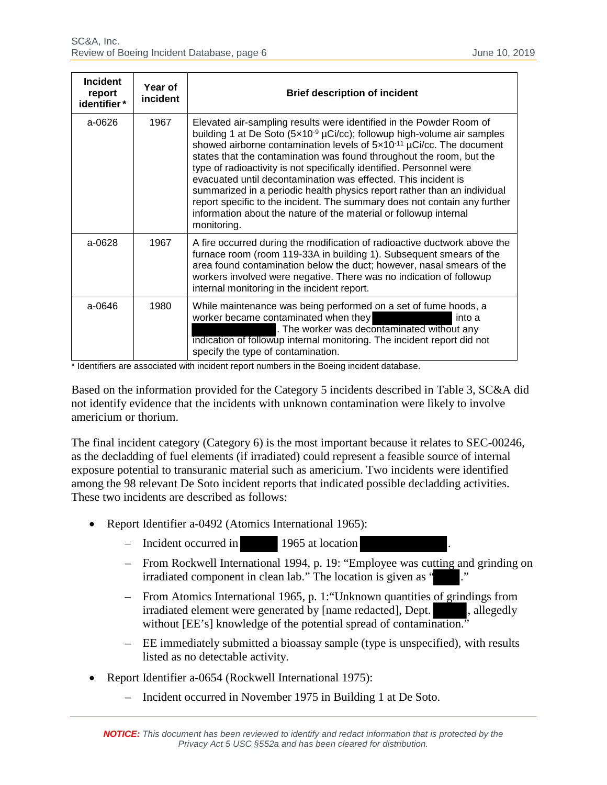| <b>Incident</b><br>report<br>identifier* | Year of<br>incident | <b>Brief description of incident</b>                                                                                                                                                                                                                                                                                                                                                                                                                                                                                                                                                                                                                                                                    |
|------------------------------------------|---------------------|---------------------------------------------------------------------------------------------------------------------------------------------------------------------------------------------------------------------------------------------------------------------------------------------------------------------------------------------------------------------------------------------------------------------------------------------------------------------------------------------------------------------------------------------------------------------------------------------------------------------------------------------------------------------------------------------------------|
| a-0626                                   | 1967                | Elevated air-sampling results were identified in the Powder Room of<br>building 1 at De Soto $(5x10-9 \mu Ci/cc)$ ; followup high-volume air samples<br>showed airborne contamination levels of 5x10 <sup>-11</sup> µCi/cc. The document<br>states that the contamination was found throughout the room, but the<br>type of radioactivity is not specifically identified. Personnel were<br>evacuated until decontamination was effected. This incident is<br>summarized in a periodic health physics report rather than an individual<br>report specific to the incident. The summary does not contain any further<br>information about the nature of the material or followup internal<br>monitoring. |
| $a - 0628$                               | 1967                | A fire occurred during the modification of radioactive ductwork above the<br>furnace room (room 119-33A in building 1). Subsequent smears of the<br>area found contamination below the duct; however, nasal smears of the<br>workers involved were negative. There was no indication of followup<br>internal monitoring in the incident report.                                                                                                                                                                                                                                                                                                                                                         |
| $a - 0646$                               | 1980                | While maintenance was being performed on a set of fume hoods, a<br>worker became contaminated when they<br>into a<br>. The worker was decontaminated without any<br>indication of followup internal monitoring. The incident report did not<br>specify the type of contamination.                                                                                                                                                                                                                                                                                                                                                                                                                       |

\* Identifiers are associated with incident report numbers in the Boeing incident database.

Based on the information provided for the Category 5 incidents described in Table 3, SC&A did not identify evidence that the incidents with unknown contamination were likely to involve americium or thorium.

The final incident category (Category 6) is the most important because it relates to SEC-00246, as the decladding of fuel elements (if irradiated) could represent a feasible source of internal exposure potential to transuranic material such as americium. Two incidents were identified among the 98 relevant De Soto incident reports that indicated possible decladding activities. These two incidents are described as follows:

- Report Identifier a-0492 (Atomics International 1965):
	- Incident occurred in 1965 at location
	- From Rockwell International 1994, p. 19: "Employee was cutting and grinding on irradiated component in clean lab." The location is given as "
	- From Atomics International 1965, p. 1:"Unknown quantities of grindings from irradiated element were generated by [name redacted], Dept. , allegedly without [EE's] knowledge of the potential spread of contamination."
	- EE immediately submitted a bioassay sample (type is unspecified), with results listed as no detectable activity.
- Report Identifier a-0654 (Rockwell International 1975):
	- Incident occurred in November 1975 in Building 1 at De Soto.